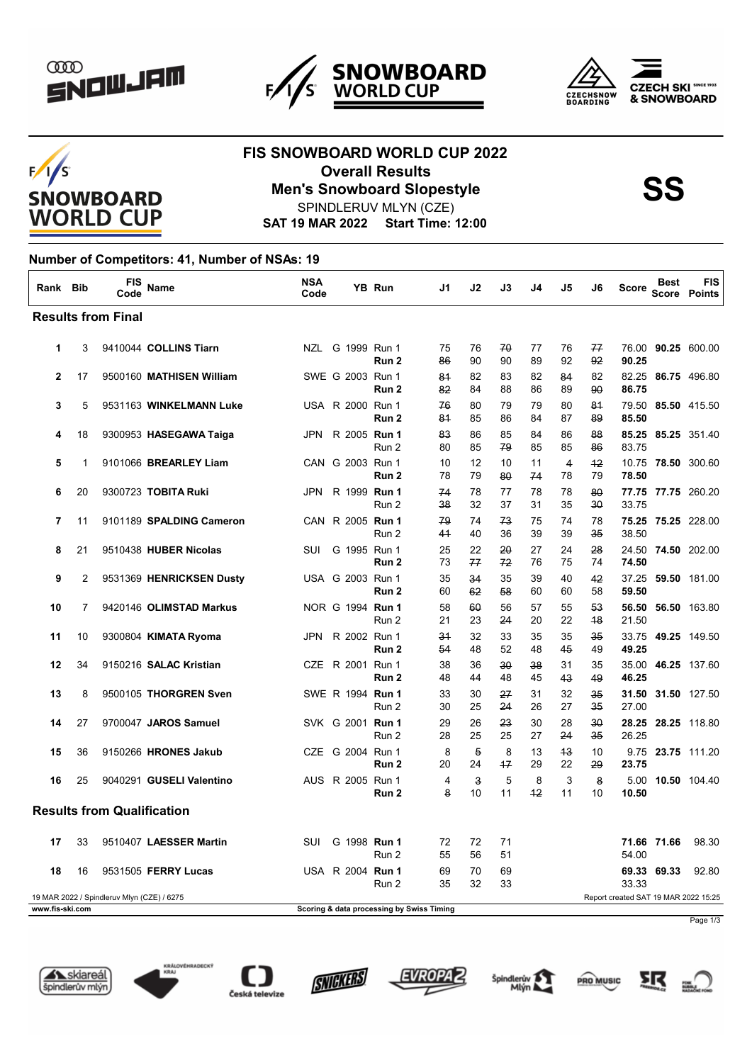







#### **FIS SNOWBOARD WORLD CUP 2022 Overall Results<br>Men's Snowboard Slopestyle**<br>SPINDLERLIV MLYN (CZE) SPINDLERUV MLYN (CZE)

**SAT 19 MAR 2022 Start Time: 12:00**

#### **Number of Competitors: 41, Number of NSAs: 19**

| Rank Bib        |    | FIS<br>Code                                | <b>Name</b>                       | <b>NSA</b><br>Code |                  | <b>YB Run</b>    | J1                                        | J2                   | J3        | J4       | J5                   | J6       | <b>Score</b>                         | <b>Best</b> | <b>FIS</b><br><b>Score Points</b> |
|-----------------|----|--------------------------------------------|-----------------------------------|--------------------|------------------|------------------|-------------------------------------------|----------------------|-----------|----------|----------------------|----------|--------------------------------------|-------------|-----------------------------------|
|                 |    | <b>Results from Final</b>                  |                                   |                    |                  |                  |                                           |                      |           |          |                      |          |                                      |             |                                   |
| 1               | 3  |                                            | 9410044 COLLINS Tiarn             |                    | NZL G 1999 Run 1 | Run <sub>2</sub> | 75<br>86                                  | 76<br>90             | 70<br>90  | 77<br>89 | 76<br>92             | 77<br>92 | 90.25                                |             | 76.00 90.25 600.00                |
| $\overline{2}$  | 17 |                                            | 9500160 MATHISEN William          |                    | SWE G 2003 Run 1 | Run 2            | 84<br>82                                  | 82<br>84             | 83<br>88  | 82<br>86 | 84<br>89             | 82<br>90 | 82.25<br>86.75                       |             | 86.75 496.80                      |
| 3               | 5  |                                            | 9531163 WINKELMANN Luke           |                    | USA R 2000 Run 1 | Run 2            | 76<br>81                                  | 80<br>85             | 79<br>86  | 79<br>84 | 80<br>87             | 84<br>89 | 85.50                                |             | 79.50 85.50 415.50                |
| 4               | 18 |                                            | 9300953 HASEGAWA Taiga            |                    | JPN R 2005 Run 1 | Run 2            | 83<br>80                                  | 86<br>85             | 85<br>79  | 84<br>85 | 86<br>85             | 88<br>86 | 83.75                                |             | 85.25 85.25 351.40                |
| 5               | 1  |                                            | 9101066 BREARLEY Liam             |                    | CAN G 2003 Run 1 | Run 2            | 10<br>78                                  | 12<br>79             | 10<br>80  | 11<br>74 | $\overline{4}$<br>78 | 42<br>79 | 78.50                                |             | 10.75 78.50 300.60                |
| 6               | 20 |                                            | 9300723 TOBITA Ruki               | JPN                | R 1999 Run 1     | Run 2            | 74<br>38                                  | 78<br>32             | 77<br>37  | 78<br>31 | 78<br>35             | 80<br>30 | 33.75                                |             | 77.75 77.75 260.20                |
| $\overline{7}$  | 11 |                                            | 9101189 SPALDING Cameron          |                    | CAN R 2005 Run 1 | Run 2            | 79<br>41                                  | 74<br>40             | 73<br>36  | 75<br>39 | 74<br>39             | 78<br>35 | 38.50                                |             | 75.25 75.25 228.00                |
| 8               | 21 |                                            | 9510438 HUBER Nicolas             | SUI                | G 1995 Run 1     | Run 2            | 25<br>73                                  | 22<br>77             | 20<br>72  | 27<br>76 | 24<br>75             | 28<br>74 | 74.50                                |             | 24.50 74.50 202.00                |
| 9               | 2  |                                            | 9531369 HENRICKSEN Dusty          |                    | USA G 2003 Run 1 | Run <sub>2</sub> | 35<br>60                                  | 34<br>62             | 35<br>58  | 39<br>60 | 40<br>60             | 42<br>58 | 37.25<br>59.50                       |             | 59.50 181.00                      |
| 10              | 7  |                                            | 9420146 OLIMSTAD Markus           |                    | NOR G 1994 Run 1 | Run 2            | 58<br>21                                  | 60<br>23             | 56<br>24  | 57<br>20 | 55<br>22             | 53<br>48 | 21.50                                |             | 56.50 56.50 163.80                |
| 11              | 10 |                                            | 9300804 KIMATA Ryoma              |                    | JPN R 2002 Run 1 | Run 2            | 34<br>54                                  | 32<br>48             | 33<br>52  | 35<br>48 | 35<br>45             | 35<br>49 | 49.25                                |             | 33.75 49.25 149.50                |
| 12              | 34 |                                            | 9150216 SALAC Kristian            |                    | CZE R 2001 Run 1 | Run 2            | 38<br>48                                  | 36<br>44             | 30<br>48  | 38<br>45 | 31<br>43             | 35<br>49 | 46.25                                |             | 35.00 46.25 137.60                |
| 13              | 8  |                                            | 9500105 THORGREN Sven             |                    | SWE R 1994 Run 1 | Run 2            | 33<br>30                                  | 30<br>25             | 27<br>24  | 31<br>26 | 32<br>27             | 35<br>35 | 27.00                                |             | 31.50 31.50 127.50                |
| 14              | 27 |                                            | 9700047 JAROS Samuel              |                    | SVK G 2001 Run 1 | Run 2            | 29<br>28                                  | 26<br>25             | 23<br>25  | 30<br>27 | 28<br>24             | 30<br>35 | 26.25                                |             | 28.25 28.25 118.80                |
| 15              | 36 |                                            | 9150266 HRONES Jakub              |                    | CZE G 2004 Run 1 | Run <sub>2</sub> | 8<br>20                                   | 5<br>24              | 8<br>$+7$ | 13<br>29 | 43<br>22             | 10<br>29 | 23.75                                |             | 9.75 23.75 111.20                 |
| 16              | 25 |                                            | 9040291 GUSELI Valentino          |                    | AUS R 2005 Run 1 | Run 2            | 4<br>8                                    | $\overline{3}$<br>10 | 5<br>11   | 8<br>42  | 3<br>11              | 8<br>10  | 10.50                                |             | 5.00 10.50 104.40                 |
|                 |    |                                            | <b>Results from Qualification</b> |                    |                  |                  |                                           |                      |           |          |                      |          |                                      |             |                                   |
| 17              | 33 |                                            | 9510407 LAESSER Martin            | SUI                | G 1998 Run 1     | Run 2            | 72<br>55                                  | 72<br>56             | 71<br>51  |          |                      |          | 54.00                                | 71.66 71.66 | 98.30                             |
| 18              | 16 |                                            | 9531505 FERRY Lucas               |                    | USA R 2004 Run 1 | Run 2            | 69<br>35                                  | 70<br>32             | 69<br>33  |          |                      |          | 33.33                                | 69.33 69.33 | 92.80                             |
| www.fis-ski.com |    | 19 MAR 2022 / Spindleruv Mlyn (CZE) / 6275 |                                   |                    |                  |                  | Scoring & data processing by Swiss Timing |                      |           |          |                      |          | Report created SAT 19 MAR 2022 15:25 |             |                                   |

















Page 1/3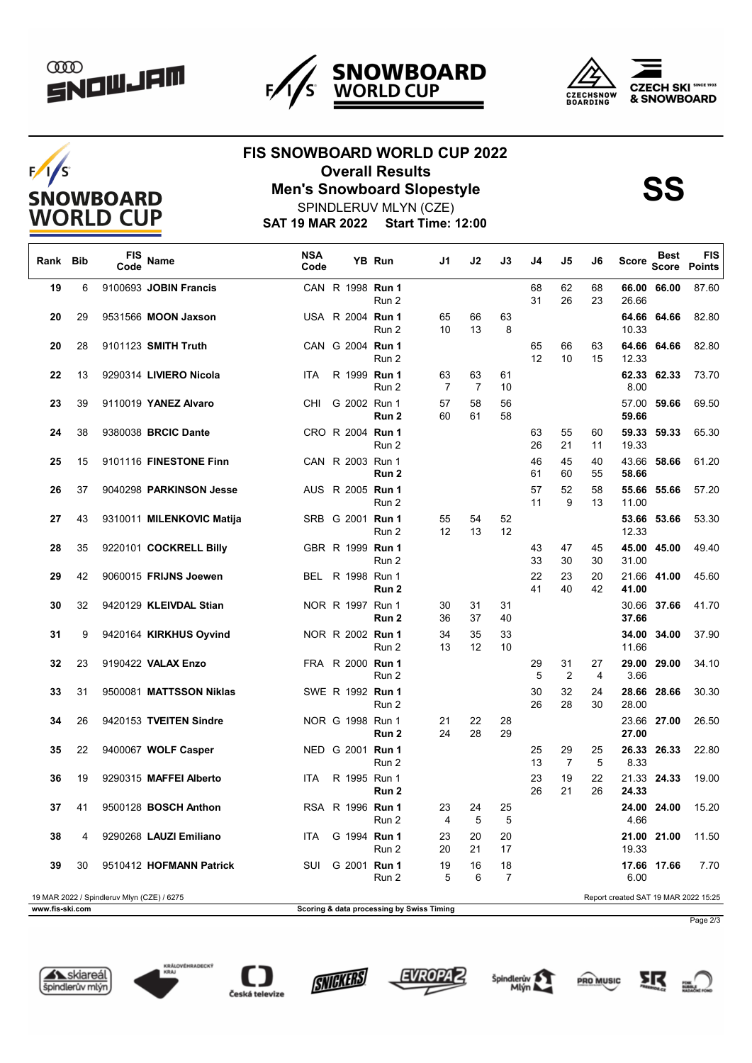





### $F/I/S$ **SNOWBOARD WORLD CUP**

# **FIS SNOWBOARD WORLD CUP 2022 Overall Results<br>Men's Snowboard Slopestyle**<br>SPINDLERLIV MLYN (CZE)

**SAT 19 MAR 2022 Start Time: 12:00** SPINDLERUV MLYN (CZE)

| Rank            | Bib | FIS<br>Code                                | Name                      | <b>NSA</b><br>Code |                         | <b>YB Run</b>    | J1                                        | J2       | J3       | J4       | J5                   | J6       | Score                                | <b>Best</b><br><b>Score</b> | <b>FIS</b><br><b>Points</b> |
|-----------------|-----|--------------------------------------------|---------------------------|--------------------|-------------------------|------------------|-------------------------------------------|----------|----------|----------|----------------------|----------|--------------------------------------|-----------------------------|-----------------------------|
| 19              | 6   |                                            | 9100693 JOBIN Francis     |                    | CAN R 1998 Run 1        | Run 2            |                                           |          |          | 68<br>31 | 62<br>26             | 68<br>23 | 26.66                                | 66.00 66.00                 | 87.60                       |
| 20              | 29  |                                            | 9531566 MOON Jaxson       |                    | USA R 2004 Run 1        | Run 2            | 65<br>10                                  | 66<br>13 | 63<br>8  |          |                      |          | 10.33                                | 64.66 64.66                 | 82.80                       |
| 20              | 28  |                                            | 9101123 SMITH Truth       |                    | CAN G 2004 Run 1        | Run 2            |                                           |          |          | 65<br>12 | 66<br>10             | 63<br>15 | 12.33                                | 64.66 64.66                 | 82.80                       |
| 22              | 13  |                                            | 9290314 LIVIERO Nicola    | <b>ITA</b>         | R 1999 Run 1            | Run 2            | 63<br>7                                   | 63<br>7  | 61<br>10 |          |                      |          | 8.00                                 | 62.33 62.33                 | 73.70                       |
| 23              | 39  |                                            | 9110019 YANEZ Alvaro      | CHI                | G 2002 Run 1            | Run 2            | 57<br>60                                  | 58<br>61 | 56<br>58 |          |                      |          | 57.00<br>59.66                       | 59.66                       | 69.50                       |
| 24              | 38  |                                            | 9380038 BRCIC Dante       |                    | CRO R 2004 Run 1        | Run 2            |                                           |          |          | 63<br>26 | 55<br>21             | 60<br>11 | 19.33                                | 59.33 59.33                 | 65.30                       |
| 25              | 15  |                                            | 9101116 FINESTONE Finn    |                    | CAN R 2003 Run 1        | Run 2            |                                           |          |          | 46<br>61 | 45<br>60             | 40<br>55 | 58.66                                | 43.66 58.66                 | 61.20                       |
| 26              | 37  |                                            | 9040298 PARKINSON Jesse   |                    | AUS R 2005 <b>Run 1</b> | Run 2            |                                           |          |          | 57<br>11 | 52<br>9              | 58<br>13 | 11.00                                | 55.66 55.66                 | 57.20                       |
| 27              | 43  |                                            | 9310011 MILENKOVIC Matija |                    | SRB G 2001 Run 1        | Run 2            | 55<br>12                                  | 54<br>13 | 52<br>12 |          |                      |          | 12.33                                | 53.66 53.66                 | 53.30                       |
| 28              | 35  |                                            | 9220101 COCKRELL Billy    |                    | GBR R 1999 Run 1        |                  |                                           |          |          | 43       | 47<br>30             | 45       |                                      | 45.00 45.00                 | 49.40                       |
| 29              | 42  |                                            | 9060015 FRIJNS Joewen     |                    | BEL R 1998 Run 1        | Run 2            |                                           |          |          | 33<br>22 | 23                   | 30<br>20 | 31.00                                | 21.66 41.00                 | 45.60                       |
| 30              | 32  |                                            | 9420129 KLEIVDAL Stian    |                    | NOR R 1997 Run 1        | Run <sub>2</sub> | 30                                        | 31       | 31       | 41       | 40                   | 42       | 41.00                                | 30.66 37.66                 | 41.70                       |
| 31              | 9   |                                            | 9420164 KIRKHUS Oyvind    |                    | NOR R 2002 Run 1        | Run 2            | 36<br>34                                  | 37<br>35 | 40<br>33 |          |                      |          | 37.66                                | 34.00 34.00                 | 37.90                       |
| 32              | 23  |                                            | 9190422 VALAX Enzo        |                    | FRA R 2000 Run 1        | Run 2            | 13                                        | 12       | 10       | 29       | 31                   | 27       | 11.66<br>29.00                       | 29.00                       | 34.10                       |
| 33              | 31  |                                            | 9500081 MATTSSON Niklas   |                    | SWE R 1992 Run 1        | Run 2            |                                           |          |          | 5<br>30  | $\overline{2}$<br>32 | 4<br>24  | 3.66                                 | 28.66 28.66                 | 30.30                       |
| 34              | 26  |                                            | 9420153 TVEITEN Sindre    |                    | NOR G 1998 Run 1        | Run 2            | 21                                        | 22       | 28       | 26       | 28                   | 30       | 28.00                                | 23.66 27.00                 | 26.50                       |
| 35              | 22  |                                            | 9400067 WOLF Casper       |                    | NED G 2001 Run 1        | Run 2            | 24                                        | 28       | 29       | 25       | 29                   | 25       | 27.00                                | 26.33 26.33                 | 22.80                       |
| 36              | 19  |                                            | 9290315 MAFFEI Alberto    | <b>ITA</b>         | R 1995 Run 1            | Run 2            |                                           |          |          | 13<br>23 | $\overline{7}$<br>19 | 5<br>22  | 8.33                                 | 21.33 24.33                 | 19.00                       |
| 37              | 41  |                                            | 9500128 BOSCH Anthon      |                    | RSA R 1996 Run 1        | Run 2            | 23                                        | 24       | 25       | 26       | 21                   | 26       | 24.33                                | 24.00 24.00                 | 15.20                       |
| 38              | 4   |                                            | 9290268 LAUZI Emiliano    | ITA                | G 1994 Run 1            | Run 2            | 4<br>23                                   | 5<br>20  | 5<br>20  |          |                      |          | 4.66                                 | 21.00 21.00                 | 11.50                       |
| 39              | 30  |                                            | 9510412 HOFMANN Patrick   | SUI                | G 2001 Run 1            | Run 2            | 20<br>19                                  | 21<br>16 | 17<br>18 |          |                      |          | 19.33                                | 17.66 17.66                 | 7.70                        |
|                 |     |                                            |                           |                    |                         | Run 2            | 5                                         | 6        | 7        |          |                      |          | 6.00                                 |                             |                             |
| www.fis-ski.com |     | 19 MAR 2022 / Spindleruv Mlyn (CZE) / 6275 |                           |                    |                         |                  | Scoring & data processing by Swiss Timing |          |          |          |                      |          | Report created SAT 19 MAR 2022 15:25 |                             |                             |
|                 |     |                                            |                           |                    |                         |                  |                                           |          |          |          |                      |          |                                      |                             | Page 2/3                    |